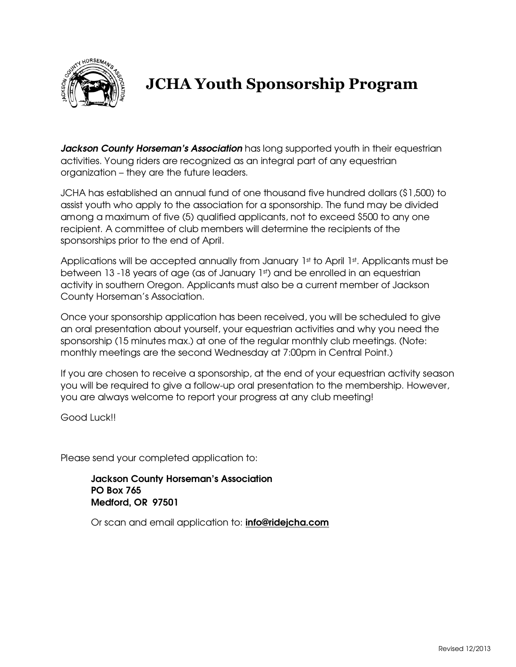

## JCHA Youth Sponsorship Program

Jackson County Horseman's Association has long supported youth in their equestrian activities. Young riders are recognized as an integral part of any equestrian organization – they are the future leaders.

JCHA has established an annual fund of one thousand five hundred dollars (\$1,500) to assist youth who apply to the association for a sponsorship. The fund may be divided among a maximum of five (5) qualified applicants, not to exceed \$500 to any one recipient. A committee of club members will determine the recipients of the sponsorships prior to the end of April.

Applications will be accepted annually from January  $1<sup>st</sup>$  to April  $1<sup>st</sup>$ . Applicants must be between 13 -18 years of age (as of January 1st) and be enrolled in an equestrian activity in southern Oregon. Applicants must also be a current member of Jackson County Horseman's Association.

Once your sponsorship application has been received, you will be scheduled to give an oral presentation about yourself, your equestrian activities and why you need the sponsorship (15 minutes max.) at one of the regular monthly club meetings. (Note: monthly meetings are the second Wednesday at 7:00pm in Central Point.)

If you are chosen to receive a sponsorship, at the end of your equestrian activity season you will be required to give a follow-up oral presentation to the membership. However, you are always welcome to report your progress at any club meeting!

Good Luck!!

Please send your completed application to:

Jackson County Horseman's Association PO Box 765 Medford, OR 97501

Or scan and email application to: **info@ridejcha.com**